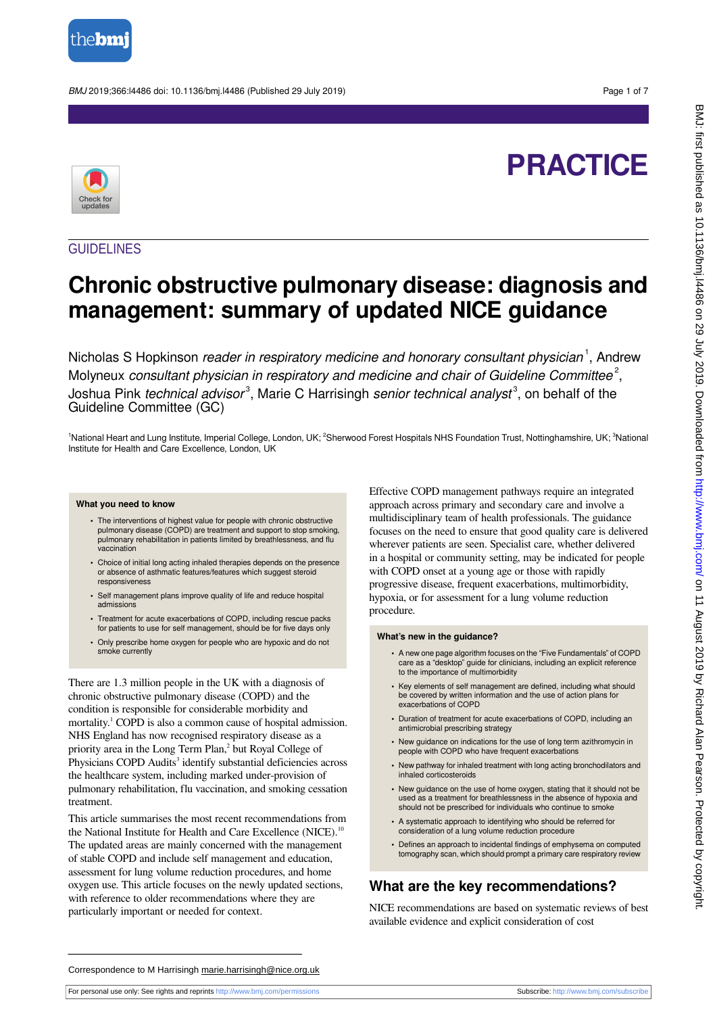

BMJ 2019;366:l4486 doi: 10.1136/bmj.l4486 (Published 29 July 2019) Page 1 of 7

# **PRACTICE**



## **GUIDELINES**

## **Chronic obstructive pulmonary disease: diagnosis and management: summary of updated NICE guidance**

Nicholas S Hopkinson reader in respiratory medicine and honorary consultant physician<sup>1</sup>, Andrew Molyneux consultant physician in respiratory and medicine and chair of Guideline Committee<sup>2</sup>, Joshua Pink *technical advisor*<sup>3</sup>, Marie C Harrisingh *senior technical analyst*<sup>3</sup>, on behalf of the Guideline Committee (GC)

<sup>1</sup>National Heart and Lung Institute, Imperial College, London, UK; <sup>2</sup>Sherwood Forest Hospitals NHS Foundation Trust, Nottinghamshire, UK; <sup>3</sup>National Institute for Health and Care Excellence, London, UK

#### **What you need to know**

- **•** The interventions of highest value for people with chronic obstructive pulmonary disease (COPD) are treatment and support to stop smoking, pulmonary rehabilitation in patients limited by breathlessness, and flu vaccination
- **•** Choice of initial long acting inhaled therapies depends on the presence or absence of asthmatic features/features which suggest steroid responsiveness
- **•** Self management plans improve quality of life and reduce hospital admissions
- **•** Treatment for acute exacerbations of COPD, including rescue packs for patients to use for self management, should be for five days only
- **•** Only prescribe home oxygen for people who are hypoxic and do not smoke currently

There are 1.3 million people in the UK with a diagnosis of chronic obstructive pulmonary disease (COPD) and the condition is responsible for considerable morbidity and mortality.<sup>1</sup> COPD is also a common cause of hospital admission. NHS England has now recognised respiratory disease as a priority area in the Long Term Plan,<sup>2</sup> but Royal College of Physicians COPD Audits<sup>3</sup> identify substantial deficiencies across the healthcare system, including marked under-provision of pulmonary rehabilitation, flu vaccination, and smoking cessation treatment.

This article summarises the most recent recommendations from the National Institute for Health and Care Excellence (NICE).<sup>11</sup> The updated areas are mainly concerned with the management of stable COPD and include self management and education, assessment for lung volume reduction procedures, and home oxygen use. This article focuses on the newly updated sections, with reference to older recommendations where they are particularly important or needed for context.

Effective COPD management pathways require an integrated approach across primary and secondary care and involve a multidisciplinary team of health professionals. The guidance focuses on the need to ensure that good quality care is delivered wherever patients are seen. Specialist care, whether delivered in a hospital or community setting, may be indicated for people with COPD onset at a young age or those with rapidly progressive disease, frequent exacerbations, multimorbidity, hypoxia, or for assessment for a lung volume reduction procedure.

#### **What's new in the guidance?**

- **•** A new one page algorithm focuses on the "Five Fundamentals" of COPD care as a "desktop" guide for clinicians, including an explicit reference to the importance of multimorbidity
- **•** Key elements of self management are defined, including what should be covered by written information and the use of action plans for exacerbations of COPD
- **•** Duration of treatment for acute exacerbations of COPD, including an antimicrobial prescribing strategy
- **•** New guidance on indications for the use of long term azithromycin in people with COPD who have frequent exacerbations
- **•** New pathway for inhaled treatment with long acting bronchodilators and inhaled corticosteroids
- **•** New guidance on the use of home oxygen, stating that it should not be used as a treatment for breathlessness in the absence of hypoxia and should not be prescribed for individuals who continue to smoke
- **•** A systematic approach to identifying who should be referred for consideration of a lung volume reduction procedure
- **•** Defines an approach to incidental findings of emphysema on computed tomography scan, which should prompt a primary care respiratory review

## **What are the key recommendations?**

NICE recommendations are based on systematic reviews of best available evidence and explicit consideration of cost

Correspondence to M Harrisingh marie.harrisingh@nice.org.uk

For personal use only: See rights and reprints<http://www.bmj.com/permissions> Subscribe: <http://www.bmj.com/subscribe>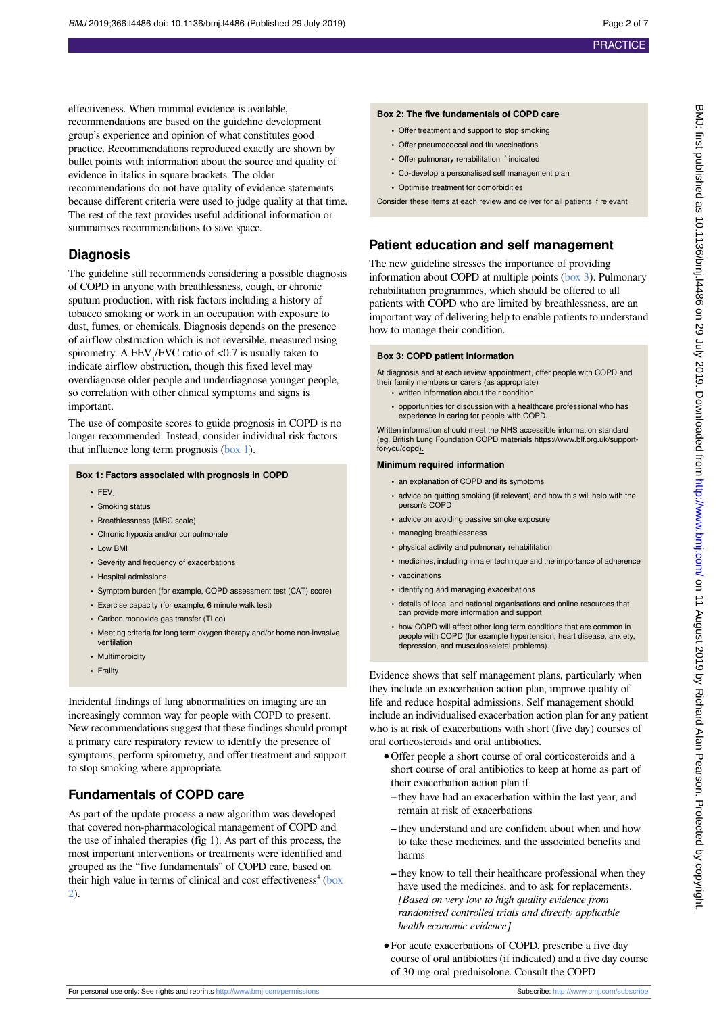effectiveness. When minimal evidence is available,

recommendations are based on the guideline development group's experience and opinion of what constitutes good practice. Recommendations reproduced exactly are shown by bullet points with information about the source and quality of evidence in italics in square brackets. The older recommendations do not have quality of evidence statements because different criteria were used to judge quality at that time. The rest of the text provides useful additional information or summarises recommendations to save space. **Diagnosis** The guideline still recommends considering a possible diagnosis of COPD in anyone with breathlessness, cough, or chronic

sputum production, with risk factors including a history of tobacco smoking or work in an occupation with exposure to dust, fumes, or chemicals. Diagnosis depends on the presence of airflow obstruction which is not reversible, measured using spirometry. A  $FEV<sub>1</sub>/FVC$  ratio of <0.7 is usually taken to indicate airflow obstruction, though this fixed level may overdiagnose older people and underdiagnose younger people, so correlation with other clinical symptoms and signs is important.

<span id="page-1-0"></span>The use of composite scores to guide prognosis in COPD is no longer recommended. Instead, consider individual risk factors that influence long term prognosis  $(box 1)$ .

#### **Box 1: Factors associated with prognosis in COPD**

- FFV
- **•** Smoking status
- **•** Breathlessness (MRC scale)
- **•** Chronic hypoxia and/or cor pulmonale
- **•** Low BMI
- **•** Severity and frequency of exacerbations
- **•** Hospital admissions
- **•** Symptom burden (for example, COPD assessment test (CAT) score)
- **•** Exercise capacity (for example, 6 minute walk test)
- **•** Carbon monoxide gas transfer (TLco)
- **•** Meeting criteria for long term oxygen therapy and/or home non-invasive ventilation
- **•** Multimorbidity
- **•** Frailty

Incidental findings of lung abnormalities on imaging are an increasingly common way for people with COPD to present. New recommendations suggest that these findings should prompt a primary care respiratory review to identify the presence of symptoms, perform spirometry, and offer treatment and support to stop smoking where appropriate.

#### **Fundamentals of COPD care**

As part of the update process a new algorithm was developed that covered non-pharmacological management of COPD and the use of inhaled therapies (fig 1). As part of this process, the most important interventions or treatments were identified and grouped as the "five fundamentals" of COPD care, based on their high value in terms of clinical and cost effectiveness<sup>4</sup> [\(box](#page-1-1) [2](#page-1-1)).

#### <span id="page-1-1"></span>**Box 2: The five fundamentals of COPD care**

- **•** Offer treatment and support to stop smoking
- **•** Offer pneumococcal and flu vaccinations
- **•** Offer pulmonary rehabilitation if indicated
- **•** Co-develop a personalised self management plan
- **•** Optimise treatment for comorbidities

Consider these items at each review and deliver for all patients if relevant

#### **Patient education and self management**

The new guideline stresses the importance of providing information about COPD at multiple points ([box 3](#page-1-2)). Pulmonary rehabilitation programmes, which should be offered to all patients with COPD who are limited by breathlessness, are an important way of delivering help to enable patients to understand how to manage their condition.

#### <span id="page-1-2"></span>**Box 3: COPD patient information**

At diagnosis and at each review appointment, offer people with COPD and their family members or carers (as appropriate)

- **•** written information about their condition
- **•** opportunities for discussion with a healthcare professional who has experience in caring for people with COPD.

Written information should meet the NHS accessible information standard (eg, British Lung Foundation COPD materials https://www.blf.org.uk/supportfor-you/copd).

#### **Minimum required information**

- **•** an explanation of COPD and its symptoms
- **•** advice on quitting smoking (if relevant) and how this will help with the person's COPD
- **•** advice on avoiding passive smoke exposure
- **•** managing breathlessness
- **•** physical activity and pulmonary rehabilitation
- **•** medicines, including inhaler technique and the importance of adherence
- **•** vaccinations
- **•** identifying and managing exacerbations
- **•** details of local and national organisations and online resources that can provide more information and support
- **•** how COPD will affect other long term conditions that are common in people with COPD (for example hypertension, heart disease, anxiety, depression, and musculoskeletal problems).

Evidence shows that self management plans, particularly when they include an exacerbation action plan, improve quality of life and reduce hospital admissions. Self management should include an individualised exacerbation action plan for any patient who is at risk of exacerbations with short (five day) courses of oral corticosteroids and oral antibiotics.

- **•**Offer people a short course of oral corticosteroids and a short course of oral antibiotics to keep at home as part of their exacerbation action plan if
	- **–** they have had an exacerbation within the last year, and remain at risk of exacerbations
	- **–** they understand and are confident about when and how to take these medicines, and the associated benefits and harms
	- **–** they know to tell their healthcare professional when they have used the medicines, and to ask for replacements. *[Based on very low to high quality evidence from randomised controlled trials and directly applicable health economic evidence]*
- **•**For acute exacerbations of COPD, prescribe a five day course of oral antibiotics (if indicated) and a five day course of 30 mg oral prednisolone. Consult the COPD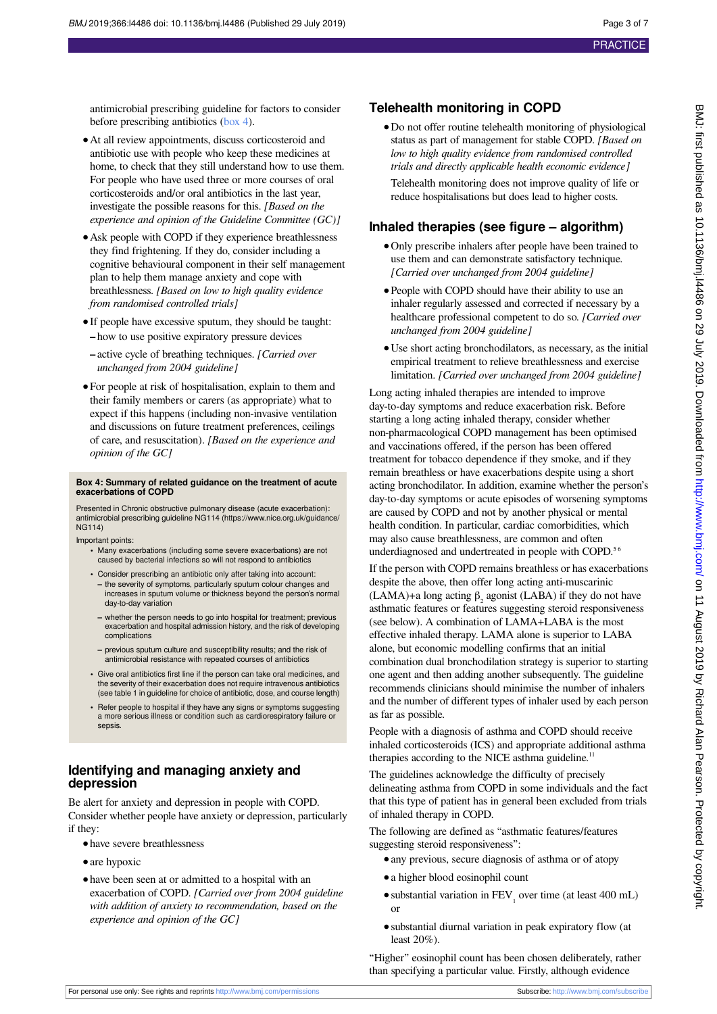antimicrobial prescribing guideline for factors to consider before prescribing antibiotics ([box 4](#page-2-0)).

- **•**At all review appointments, discuss corticosteroid and antibiotic use with people who keep these medicines at home, to check that they still understand how to use them. For people who have used three or more courses of oral corticosteroids and/or oral antibiotics in the last year, investigate the possible reasons for this. *[Based on the experience and opinion of the Guideline Committee (GC)]*
- **•**Ask people with COPD if they experience breathlessness they find frightening. If they do, consider including a cognitive behavioural component in their self management plan to help them manage anxiety and cope with breathlessness. *[Based on low to high quality evidence from randomised controlled trials]*
- **•**If people have excessive sputum, they should be taught: **–** how to use positive expiratory pressure devices
- **–** active cycle of breathing techniques. *[Carried over unchanged from 2004 guideline]*
- **•**For people at risk of hospitalisation, explain to them and their family members or carers (as appropriate) what to expect if this happens (including non-invasive ventilation and discussions on future treatment preferences, ceilings of care, and resuscitation). *[Based on the experience and opinion of the GC]*

## <span id="page-2-0"></span>**Box 4: Summary of related guidance on the treatment of acute exacerbations of COPD**

Presented in Chronic obstructive pulmonary disease (acute exacerbation): antimicrobial prescribing guideline NG114 (https://www.nice.org.uk/guidance/ NG114)

Important points:

- **•** Many exacerbations (including some severe exacerbations) are not caused by bacterial infections so will not respond to antibiotics
- **•** Consider prescribing an antibiotic only after taking into account: **–** the severity of symptoms, particularly sputum colour changes and increases in sputum volume or thickness beyond the person's normal day-to-day variation
- **–** whether the person needs to go into hospital for treatment; previous exacerbation and hospital admission history, and the risk of developing complications
- **–** previous sputum culture and susceptibility results; and the risk of antimicrobial resistance with repeated courses of antibiotics
- **•** Give oral antibiotics first line if the person can take oral medicines, and the severity of their exacerbation does not require intravenous antibiotics (see table 1 in guideline for choice of antibiotic, dose, and course length)
- **•** Refer people to hospital if they have any signs or symptoms suggesting a more serious illness or condition such as cardiorespiratory failure or sepsis.

## **Identifying and managing anxiety and depression**

Be alert for anxiety and depression in people with COPD. Consider whether people have anxiety or depression, particularly if they:

- **•**have severe breathlessness
- **•**are hypoxic
- have been seen at or admitted to a hospital with an exacerbation of COPD. *[Carried over from 2004 guideline with addition of anxiety to recommendation, based on the experience and opinion of the GC]*

## **Telehealth monitoring in COPD**

**•**Do not offer routine telehealth monitoring of physiological status as part of management for stable COPD. *[Based on low to high quality evidence from randomised controlled trials and directly applicable health economic evidence]* Telehealth monitoring does not improve quality of life or reduce hospitalisations but does lead to higher costs.

#### **Inhaled therapies (see figure – algorithm)**

- **•**Only prescribe inhalers after people have been trained to use them and can demonstrate satisfactory technique. *[Carried over unchanged from 2004 guideline]*
- **•**People with COPD should have their ability to use an inhaler regularly assessed and corrected if necessary by a healthcare professional competent to do so. *[Carried over unchanged from 2004 guideline]*
- **•**Use short acting bronchodilators, as necessary, as the initial empirical treatment to relieve breathlessness and exercise limitation. *[Carried over unchanged from 2004 guideline]*

Long acting inhaled therapies are intended to improve day-to-day symptoms and reduce exacerbation risk. Before starting a long acting inhaled therapy, consider whether non-pharmacological COPD management has been optimised and vaccinations offered, if the person has been offered treatment for tobacco dependence if they smoke, and if they remain breathless or have exacerbations despite using a short acting bronchodilator. In addition, examine whether the person's day-to-day symptoms or acute episodes of worsening symptoms are caused by COPD and not by another physical or mental health condition. In particular, cardiac comorbidities, which may also cause breathlessness, are common and often underdiagnosed and undertreated in people with COPD.<sup>56</sup>

If the person with COPD remains breathless or has exacerbations despite the above, then offer long acting anti-muscarinic (LAMA)+a long acting  $\beta_2$  agonist (LABA) if they do not have asthmatic features or features suggesting steroid responsiveness (see below). A combination of LAMA+LABA is the most effective inhaled therapy. LAMA alone is superior to LABA alone, but economic modelling confirms that an initial combination dual bronchodilation strategy is superior to starting one agent and then adding another subsequently. The guideline recommends clinicians should minimise the number of inhalers and the number of different types of inhaler used by each person as far as possible.

People with a diagnosis of asthma and COPD should receive inhaled corticosteroids (ICS) and appropriate additional asthma therapies according to the NICE asthma guideline.<sup>11</sup>

The guidelines acknowledge the difficulty of precisely delineating asthma from COPD in some individuals and the fact that this type of patient has in general been excluded from trials of inhaled therapy in COPD.

The following are defined as "asthmatic features/features suggesting steroid responsiveness":

- **•**any previous, secure diagnosis of asthma or of atopy
- **•**a higher blood eosinophil count
- substantial variation in FEV<sub>1</sub> over time (at least 400 mL) or
- **•**substantial diurnal variation in peak expiratory flow (at least 20%).

"Higher" eosinophil count has been chosen deliberately, rather than specifying a particular value. Firstly, although evidence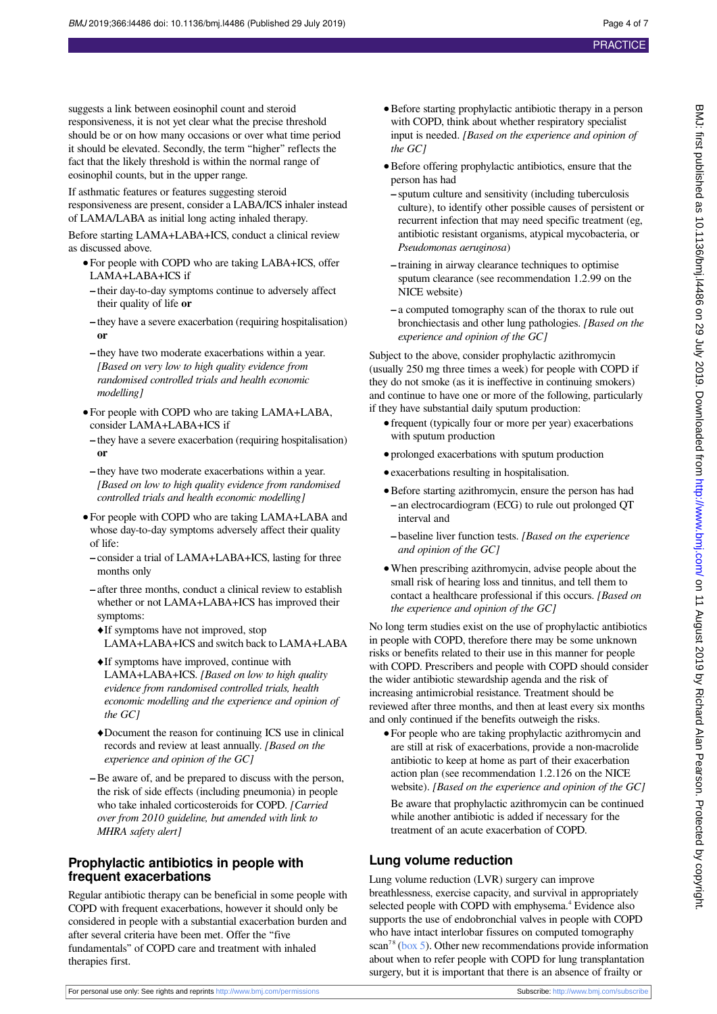suggests a link between eosinophil count and steroid responsiveness, it is not yet clear what the precise threshold should be or on how many occasions or over what time period it should be elevated. Secondly, the term "higher" reflects the fact that the likely threshold is within the normal range of eosinophil counts, but in the upper range.

If asthmatic features or features suggesting steroid responsiveness are present, consider a LABA/ICS inhaler instead of LAMA/LABA as initial long acting inhaled therapy.

Before starting LAMA+LABA+ICS, conduct a clinical review as discussed above.

- **•**For people with COPD who are taking LABA+ICS, offer LAMA+LABA+ICS if
- **–** their day-to-day symptoms continue to adversely affect their quality of life **or**
- **–** they have a severe exacerbation (requiring hospitalisation) **or**
- **–** they have two moderate exacerbations within a year. *[Based on very low to high quality evidence from randomised controlled trials and health economic modelling]*
- **•**For people with COPD who are taking LAMA+LABA, consider LAMA+LABA+ICS if
- **–** they have a severe exacerbation (requiring hospitalisation) **or**
- **–** they have two moderate exacerbations within a year. *[Based on low to high quality evidence from randomised controlled trials and health economic modelling]*
- **•**For people with COPD who are taking LAMA+LABA and whose day-to-day symptoms adversely affect their quality of life:
- **–** consider a trial of LAMA+LABA+ICS, lasting for three months only
- **–** after three months, conduct a clinical review to establish whether or not LAMA+LABA+ICS has improved their symptoms:
	- **♦**If symptoms have not improved, stop LAMA+LABA+ICS and switch back to LAMA+LABA
	- **♦**If symptoms have improved, continue with LAMA+LABA+ICS. *[Based on low to high quality evidence from randomised controlled trials, health economic modelling and the experience and opinion of the GC]*
	- **♦**Document the reason for continuing ICS use in clinical records and review at least annually. *[Based on the experience and opinion of the GC]*
- **–**Be aware of, and be prepared to discuss with the person, the risk of side effects (including pneumonia) in people who take inhaled corticosteroids for COPD. *[Carried over from 2010 guideline, but amended with link to MHRA safety alert]*

#### **Prophylactic antibiotics in people with frequent exacerbations**

Regular antibiotic therapy can be beneficial in some people with COPD with frequent exacerbations, however it should only be considered in people with a substantial exacerbation burden and after several criteria have been met. Offer the "five fundamentals" of COPD care and treatment with inhaled therapies first.

- **•**Before starting prophylactic antibiotic therapy in a person with COPD, think about whether respiratory specialist input is needed. *[Based on the experience and opinion of the GC]*
- **•**Before offering prophylactic antibiotics, ensure that the person has had
- **–** sputum culture and sensitivity (including tuberculosis culture), to identify other possible causes of persistent or recurrent infection that may need specific treatment (eg, antibiotic resistant organisms, atypical mycobacteria, or *Pseudomonas aeruginosa*)
- **–** training in airway clearance techniques to optimise sputum clearance (see recommendation 1.2.99 on the NICE website)
- **–** a computed tomography scan of the thorax to rule out bronchiectasis and other lung pathologies. *[Based on the experience and opinion of the GC]*

Subject to the above, consider prophylactic azithromycin (usually 250 mg three times a week) for people with COPD if they do not smoke (as it is ineffective in continuing smokers) and continue to have one or more of the following, particularly if they have substantial daily sputum production:

- **•**frequent (typically four or more per year) exacerbations with sputum production
- **•**prolonged exacerbations with sputum production
- **•**exacerbations resulting in hospitalisation.
- **•**Before starting azithromycin, ensure the person has had **–** an electrocardiogram (ECG) to rule out prolonged QT interval and
- **–** baseline liver function tests. *[Based on the experience and opinion of the GC]*
- **•**When prescribing azithromycin, advise people about the small risk of hearing loss and tinnitus, and tell them to contact a healthcare professional if this occurs. *[Based on the experience and opinion of the GC]*

No long term studies exist on the use of prophylactic antibiotics in people with COPD, therefore there may be some unknown risks or benefits related to their use in this manner for people with COPD. Prescribers and people with COPD should consider the wider antibiotic stewardship agenda and the risk of increasing antimicrobial resistance. Treatment should be reviewed after three months, and then at least every six months and only continued if the benefits outweigh the risks.

**•**For people who are taking prophylactic azithromycin and are still at risk of exacerbations, provide a non-macrolide antibiotic to keep at home as part of their exacerbation action plan (see recommendation 1.2.126 on the NICE website). *[Based on the experience and opinion of the GC]*

Be aware that prophylactic azithromycin can be continued while another antibiotic is added if necessary for the treatment of an acute exacerbation of COPD.

## **Lung volume reduction**

Lung volume reduction (LVR) surgery can improve breathlessness, exercise capacity, and survival in appropriately selected people with COPD with emphysema.<sup>4</sup> Evidence also supports the use of endobronchial valves in people with COPD who have intact interlobar fissures on computed tomography scan<sup>78</sup> [\(box 5](#page-4-0)). Other new recommendations provide information about when to refer people with COPD for lung transplantation surgery, but it is important that there is an absence of frailty or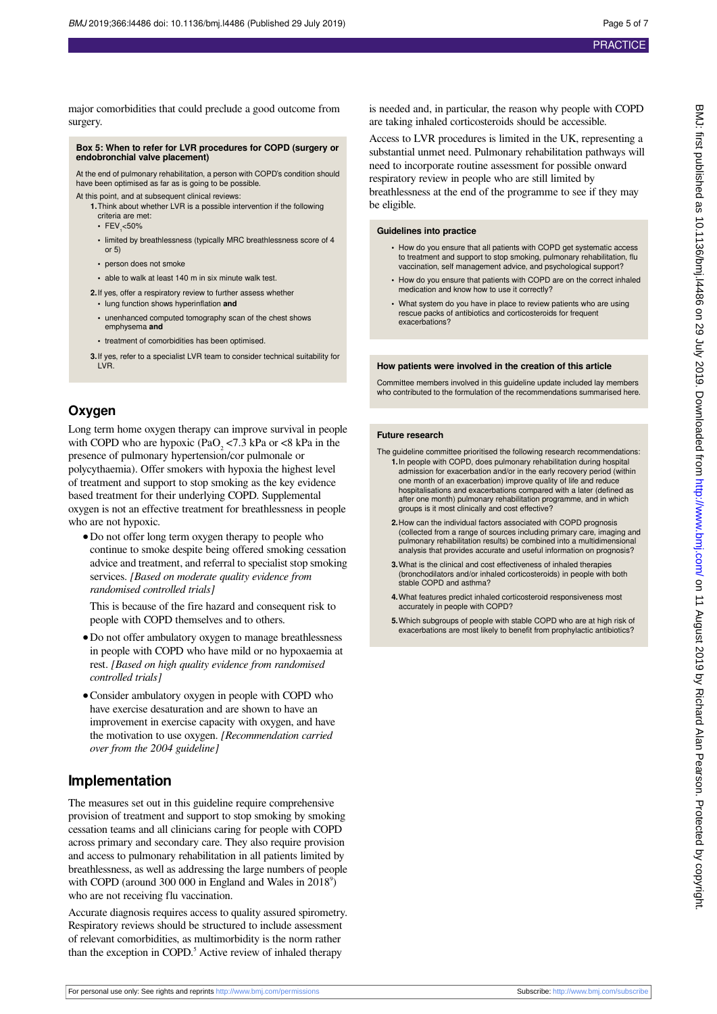major comorbidities that could preclude a good outcome from

**Box 5: When to refer for LVR procedures for COPD (surgery or endobronchial valve placement)** At the end of pulmonary rehabilitation, a person with COPD's condition should have been optimised as far as is going to be possible. At this point, and at subsequent clinical reviews **1.**Think about whether LVR is a possible intervention if the following **•** limited by breathlessness (typically MRC breathlessness score of 4 **•** person does not smoke **•** able to walk at least 140 m in six minute walk test. **2.** If yes, offer a respiratory review to further assess whether **•** lung function shows hyperinflation **and •** unenhanced computed tomography scan of the chest shows **•** treatment of comorbidities has been optimised. **3.**If yes, refer to a specialist LVR team to consider technical suitability for be eligible.

## **Oxygen**

LVR.

<span id="page-4-0"></span>surgery.

criteria are met: • FEV<sub>1</sub><50%

emphysema **and**

or 5)

Long term home oxygen therapy can improve survival in people with COPD who are hypoxic (PaO<sub>2</sub> <7.3 kPa or <8 kPa in the presence of pulmonary hypertension/cor pulmonale or polycythaemia). Offer smokers with hypoxia the highest level of treatment and support to stop smoking as the key evidence based treatment for their underlying COPD. Supplemental oxygen is not an effective treatment for breathlessness in people who are not hypoxic.

**•**Do not offer long term oxygen therapy to people who continue to smoke despite being offered smoking cessation advice and treatment, and referral to specialist stop smoking services. *[Based on moderate quality evidence from randomised controlled trials]*

This is because of the fire hazard and consequent risk to people with COPD themselves and to others.

- **•**Do not offer ambulatory oxygen to manage breathlessness in people with COPD who have mild or no hypoxaemia at rest. *[Based on high quality evidence from randomised controlled trials]*
- **•**Consider ambulatory oxygen in people with COPD who have exercise desaturation and are shown to have an improvement in exercise capacity with oxygen, and have the motivation to use oxygen. *[Recommendation carried over from the 2004 guideline]*

## **Implementation**

The measures set out in this guideline require comprehensive provision of treatment and support to stop smoking by smoking cessation teams and all clinicians caring for people with COPD across primary and secondary care. They also require provision and access to pulmonary rehabilitation in all patients limited by breathlessness, as well as addressing the large numbers of people with COPD (around 300 000 in England and Wales in  $2018^{\circ}$ ) who are not receiving flu vaccination.

Accurate diagnosis requires access to quality assured spirometry. Respiratory reviews should be structured to include assessment of relevant comorbidities, as multimorbidity is the norm rather than the exception in COPD.<sup>5</sup> Active review of inhaled therapy

is needed and, in particular, the reason why people with COPD are taking inhaled corticosteroids should be accessible.

Access to LVR procedures is limited in the UK, representing a substantial unmet need. Pulmonary rehabilitation pathways will need to incorporate routine assessment for possible onward respiratory review in people who are still limited by

breathlessness at the end of the programme to see if they may

**Guidelines into practice**

- **•** How do you ensure that all patients with COPD get systematic access to treatment and support to stop smoking, pulmonary rehabilitation, flu vaccination, self management advice, and psychological support?
- **•** How do you ensure that patients with COPD are on the correct inhaled medication and know how to use it correctly?
- **•** What system do you have in place to review patients who are using rescue packs of antibiotics and corticosteroids for frequent exacerbations?

#### **How patients were involved in the creation of this article**

Committee members involved in this guideline update included lay members who contributed to the formulation of the recommendations summarised here.

#### **Future research**

The guideline committee prioritised the following research recommendations: **1.**In people with COPD, does pulmonary rehabilitation during hospital admission for exacerbation and/or in the early recovery period (within one month of an exacerbation) improve quality of life and reduce hospitalisations and exacerbations compared with a later (defined as after one month) pulmonary rehabilitation programme, and in which groups is it most clinically and cost effective?

- **2.**How can the individual factors associated with COPD prognosis (collected from a range of sources including primary care, imaging and pulmonary rehabilitation results) be combined into a multidimensional analysis that provides accurate and useful information on prognosis?
- **3.**What is the clinical and cost effectiveness of inhaled therapies (bronchodilators and/or inhaled corticosteroids) in people with both stable COPD and asthma?
- **4.**What features predict inhaled corticosteroid responsiveness most accurately in people with COPD?
- **5.**Which subgroups of people with stable COPD who are at high risk of exacerbations are most likely to benefit from prophylactic antibiotics?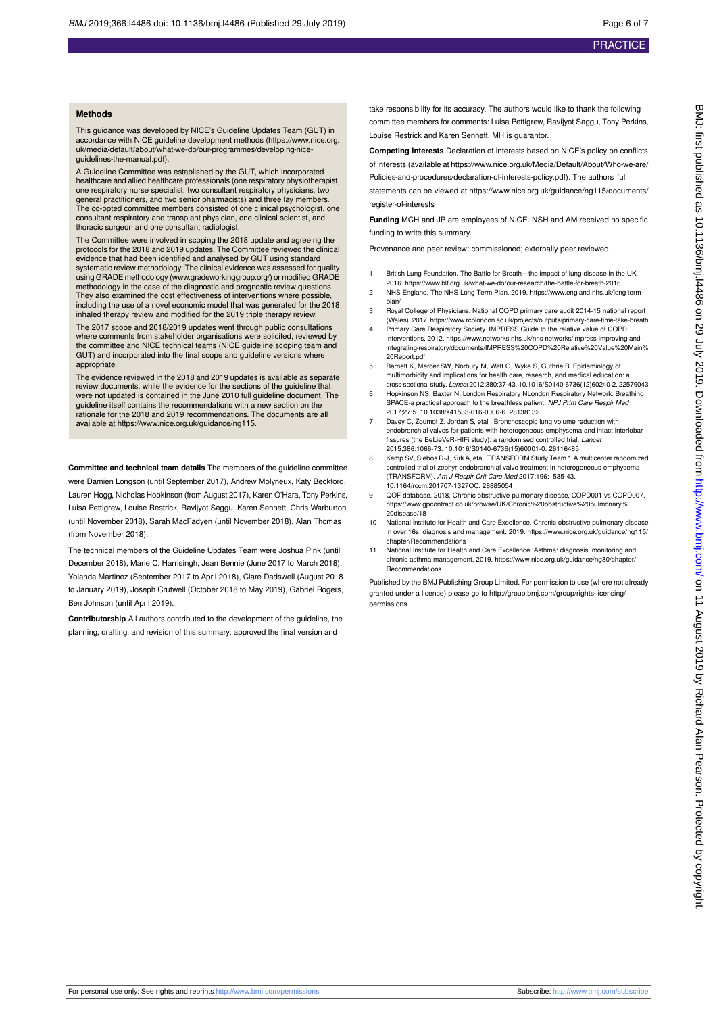#### **Methods**

This guidance was developed by NICE's Guideline Updates Team (GUT) in accordance with NICE guideline development methods (https://www.nice.org. uk/media/default/about/what-we-do/our-programmes/developing-niceguidelines-the-manual.pdf).

A Guideline Committee was established by the GUT, which incorporated healthcare and allied healthcare professionals (one respiratory physiotherapist, one respiratory nurse specialist, two consultant respiratory physicians, two<br>general practitioners, and two senior pharmacists) and three lay members.<br>The co-opted committee members consisted of one clinical psychologist, consultant respiratory and transplant physician, one clinical scientist, and thoracic surgeon and one consultant radiologist.

The Committee were involved in scoping the 2018 update and agreeing the protocols for the 2018 and 2019 updates. The Committee reviewed the clinical evidence that had been identified and analysed by GUT using standard systematic review methodology. The clinical evidence was assessed for quality using GRADE methodology [\(www.gradeworkinggroup.org/\)](http://www.gradeworkinggroup.org/) or modified GRADE methodology in the case of the diagnostic and prognostic review questions. They also examined the cost effectiveness of interventions where possible, including the use of a novel economic model that was generated for the 2018 inhaled therapy review and modified for the 2019 triple therapy review.

The 2017 scope and 2018/2019 updates went through public consultations where comments from stakeholder organisations were solicited, reviewed by the committee and NICE technical teams (NICE guideline scoping team and GUT) and incorporated into the final scope and guideline versions where appropriate.

The evidence reviewed in the 2018 and 2019 updates is available as separate review documents, while the evidence for the sections of the guideline that were not updated is contained in the June 2010 full guideline document. The guideline itself contains the recommendations with a new section on the rationale for the 2018 and 2019 recommendations. The documents are all available at https://www.nice.org.uk/guidance/ng115.

**Committee and technical team details** The members of the guideline committee were Damien Longson (until September 2017), Andrew Molyneux, Katy Beckford, Lauren Hogg, Nicholas Hopkinson (from August 2017), Karen O'Hara, Tony Perkins, Luisa Pettigrew, Louise Restrick, Ravijyot Saggu, Karen Sennett, Chris Warburton (until November 2018), Sarah MacFadyen (until November 2018), Alan Thomas (from November 2018).

The technical members of the Guideline Updates Team were Joshua Pink (until December 2018), Marie C. Harrisingh, Jean Bennie (June 2017 to March 2018), Yolanda Martinez (September 2017 to April 2018), Clare Dadswell (August 2018 to January 2019), Joseph Crutwell (October 2018 to May 2019), Gabriel Rogers, Ben Johnson (until April 2019).

**Contributorship** All authors contributed to the development of the guideline, the planning, drafting, and revision of this summary, approved the final version and

take responsibility for its accuracy. The authors would like to thank the following committee members for comments: Luisa Pettigrew, Ravijyot Saggu, Tony Perkins, Louise Restrick and Karen Sennett. MH is guarantor.

**Competing interests** Declaration of interests based on NICE's policy on conflicts of interests (available at https://www.nice.org.uk/Media/Default/About/Who-we-are/ Policies-and-procedures/declaration-of-interests-policy.pdf): The authors' full

statements can be viewed at https://www.nice.org.uk/guidance/ng115/documents/ register-of-interests

**Funding** MCH and JP are employees of NICE. NSH and AM received no specific funding to write this summary.

Provenance and peer review: commissioned; externally peer reviewed.

- 1 British Lung Foundation. The Battle for Breath—the impact of lung disease in the UK, 2016. https://www.blf.org.uk/what-we-do/our-research/the-battle-for-breath-2016.
- 2 NHS England. The NHS Long Term Plan. 2019. https://www.england.nhs.uk/long-termplan/
- 3 Royal College of Physicians. National COPD primary care audit 2014-15 national report (Wales). 2017. https://www.rcplondon.ac.uk/projects/outputs/primary-care-time-take-breath 4 Primary Care Respiratory Society. IMPRESS Guide to the relative value of COPD
- interventions, 2012. https://www.networks.nhs.uk/nhs-networks/impress-improving-andintegrating-respiratory/documents/IMPRESS%20COPD%20Relative%20Value%20Main% 20Report.pdf
- 5 Barnett K, Mercer SW, Norbury M, Watt G, Wyke S, Guthrie B. Epidemiology of multimorbidity and implications for health care, research, and medical education: a cross-sectional study. Lancet 2012;380:37-43. 10.1016/S0140-6736(12)60240-2. 22579043
- 6 Hopkinson NS, Baxter N, London Respiratory NLondon Respiratory Network. Breathing SPACE-a practical approach to the breathless patient. NPJ Prim Care Respir Med 2017;27:5. 10.1038/s41533-016-0006-6. 28138132
- 7 Davey C, Zoumot Z, Jordan S, etal . Bronchoscopic lung volume reduction with endobronchial valves for patients with heterogeneous emphysema and intact interlobar fissures (the BeLieVeR-HIFi study): a randomised controlled trial. Lancet 2015;386:1066-73. 10.1016/S0140-6736(15)60001-0. 26116485
- 8 Kemp SV, Slebos D-J, Kirk A, etal. TRANSFORM Study Team \*. A multicenter randomized controlled trial of zephyr endobronchial valve treatment in heterogeneous emphysema (TRANSFORM). Am J Respir Crit Care Med 2017;196:1535-43. 10.1164/rccm.201707-1327OC. 28885054
- 9 QOF database. 2018. Chronic obstructive pulmonary disease, COPD001 vs COPD007. https://www.gpcontract.co.uk/browse/UK/Chronic%20obstructive%20pulmonary% 20disease/18
- National Institute for Health and Care Excellence. Chronic obstructive pulmonary disease in over 16s: diagnosis and management. 2019. https://www.nice.org.uk/guidance/ng115/ chapter/Recommendations
- 11 National Institute for Health and Care Excellence. Asthma: diagnosis, monitoring and chronic asthma management. 2019. https://www.nice.org.uk/guidance/ng80/chapter/ Recommendations

Published by the BMJ Publishing Group Limited. For permission to use (where not already granted under a licence) please go to [http://group.bmj.com/group/rights-licensing/](http://group.bmj.com/group/rights-licensing/permissions) [permissions](http://group.bmj.com/group/rights-licensing/permissions)

For personal use only: See rights and reprints<http://www.bmj.com/permissions> Subscribe: <http://www.bmj.com/subscribe>